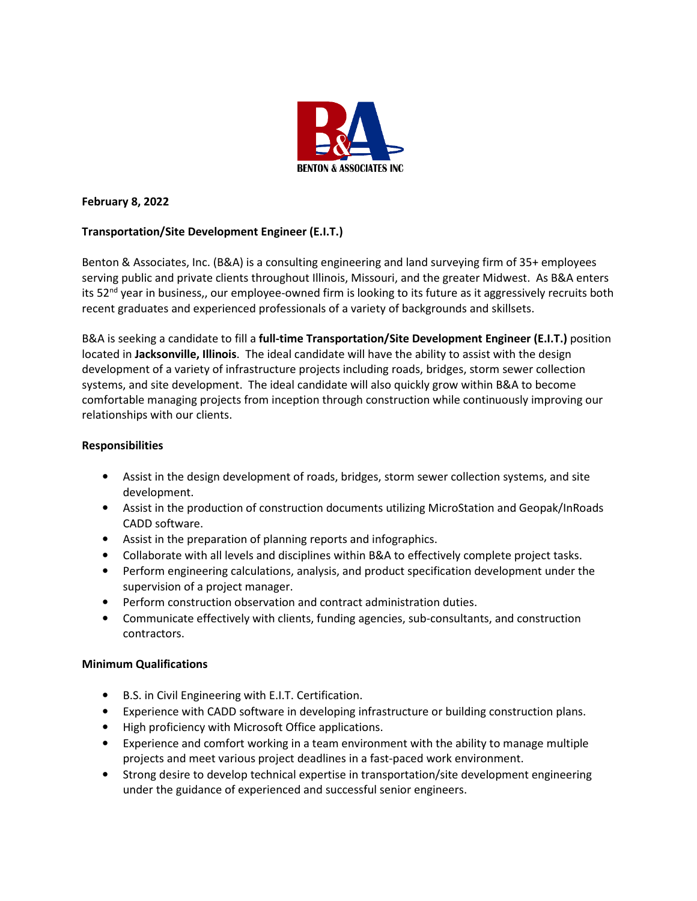

## **February 8, 2022**

# **Transportation/Site Development Engineer (E.I.T.)**

Benton & Associates, Inc. (B&A) is a consulting engineering and land surveying firm of 35+ employees serving public and private clients throughout Illinois, Missouri, and the greater Midwest. As B&A enters its 52<sup>nd</sup> year in business,, our employee-owned firm is looking to its future as it aggressively recruits both recent graduates and experienced professionals of a variety of backgrounds and skillsets.

B&A is seeking a candidate to fill a **full-time Transportation/Site Development Engineer (E.I.T.)** position located in **Jacksonville, Illinois**. The ideal candidate will have the ability to assist with the design development of a variety of infrastructure projects including roads, bridges, storm sewer collection systems, and site development. The ideal candidate will also quickly grow within B&A to become comfortable managing projects from inception through construction while continuously improving our relationships with our clients.

### **Responsibilities**

- Assist in the design development of roads, bridges, storm sewer collection systems, and site development.
- Assist in the production of construction documents utilizing MicroStation and Geopak/InRoads CADD software.
- Assist in the preparation of planning reports and infographics.
- Collaborate with all levels and disciplines within B&A to effectively complete project tasks.
- Perform engineering calculations, analysis, and product specification development under the supervision of a project manager.
- Perform construction observation and contract administration duties.
- Communicate effectively with clients, funding agencies, sub-consultants, and construction contractors.

### **Minimum Qualifications**

- B.S. in Civil Engineering with E.I.T. Certification.
- Experience with CADD software in developing infrastructure or building construction plans.
- High proficiency with Microsoft Office applications.
- Experience and comfort working in a team environment with the ability to manage multiple projects and meet various project deadlines in a fast-paced work environment.
- Strong desire to develop technical expertise in transportation/site development engineering under the guidance of experienced and successful senior engineers.